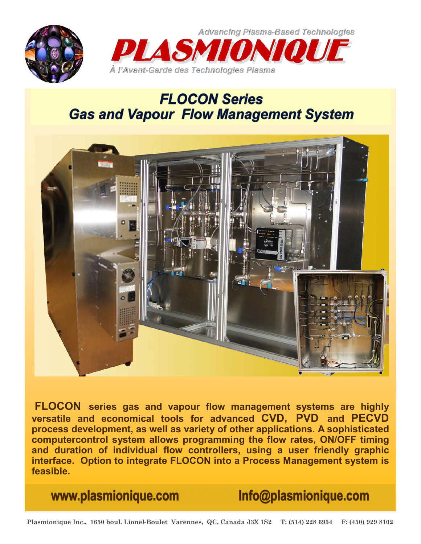

**Advancing Plasma-Based Technologies** 



## **FLOCON Series Gas and Vapour Flow Management System**



**FLOCON series gas and vapour flow management systems are highly versatile and economical tools for advanced CVD, PVD and PECVD process development, as well as variety of other applications. A sophisticated computercontrol system allows programming the flow rates, ON/OFF timing and duration of individual flow controllers, using a user friendly graphic interface. Option to integrate FLOCON into a Process Management system is feasible.** 

www.plasmionique.com

Info@plasmionique.com